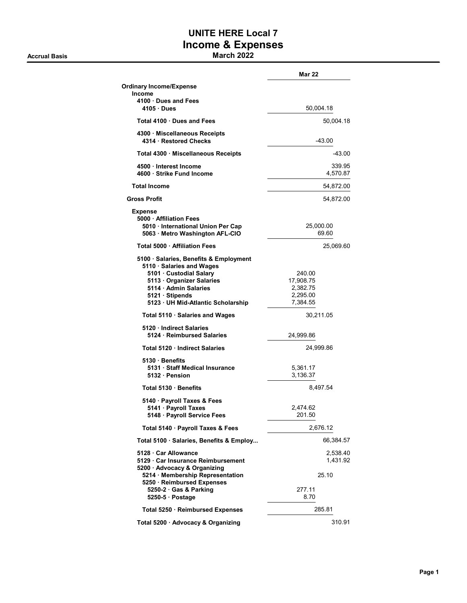### **Accrual Basis March 2022**

## **UNITE HERE Local 7 Income & Expenses**

|                                                                                                                                                                                                          | Mar 22                                                  |
|----------------------------------------------------------------------------------------------------------------------------------------------------------------------------------------------------------|---------------------------------------------------------|
| <b>Ordinary Income/Expense</b>                                                                                                                                                                           |                                                         |
| <b>Income</b><br>4100 Dues and Fees<br>4105 Dues                                                                                                                                                         | 50,004.18                                               |
| Total 4100 Dues and Fees                                                                                                                                                                                 | 50,004.18                                               |
| 4300 · Miscellaneous Receipts<br>4314 · Restored Checks                                                                                                                                                  | $-43.00$                                                |
| Total 4300 · Miscellaneous Receipts                                                                                                                                                                      | -43.00                                                  |
| 4500 · Interest Income<br>4600 · Strike Fund Income                                                                                                                                                      | 339.95<br>4,570.87                                      |
| <b>Total Income</b>                                                                                                                                                                                      | 54,872.00                                               |
| <b>Gross Profit</b>                                                                                                                                                                                      | 54,872.00                                               |
| <b>Expense</b><br>5000 - Affiliation Fees<br>5010 · International Union Per Cap<br>5063 · Metro Washington AFL-CIO                                                                                       | 25,000.00<br>69.60                                      |
| Total 5000 · Affiliation Fees                                                                                                                                                                            | 25,069.60                                               |
| 5100 · Salaries, Benefits & Employment<br>5110 · Salaries and Wages<br>5101 · Custodial Salary<br>5113 Organizer Salaries<br>5114 · Admin Salaries<br>5121 Stipends<br>5123 UH Mid-Atlantic Scholarship  | 240.00<br>17,908.75<br>2,382.75<br>2,295.00<br>7,384.55 |
| Total 5110 · Salaries and Wages                                                                                                                                                                          | 30,211.05                                               |
| 5120 · Indirect Salaries<br>5124 Reimbursed Salaries                                                                                                                                                     | 24,999.86                                               |
| Total 5120 Indirect Salaries                                                                                                                                                                             | 24,999.86                                               |
| 5130 · Benefits<br>5131 · Staff Medical Insurance<br>5132 · Pension                                                                                                                                      | 5,361.17<br>3,136.37                                    |
| Total 5130 · Benefits                                                                                                                                                                                    | 8,497.54                                                |
| 5140 · Payroll Taxes & Fees<br>5141 · Payroll Taxes<br>5148 · Payroll Service Fees                                                                                                                       | 2,474.62<br>201.50                                      |
| Total 5140 · Payroll Taxes & Fees                                                                                                                                                                        | 2,676.12                                                |
| Total 5100 · Salaries, Benefits & Employ                                                                                                                                                                 | 66,384.57                                               |
| 5128 Car Allowance<br>5129 · Car Insurance Reimbursement<br>5200 · Advocacy & Organizing<br>5214 · Membership Representation<br>5250 · Reimbursed Expenses<br>5250-2 · Gas & Parking<br>$5250-5$ Postage | 2,538.40<br>1,431.92<br>25.10<br>277.11<br>8.70         |
| Total 5250 · Reimbursed Expenses                                                                                                                                                                         | 285.81                                                  |
| Total 5200 · Advocacy & Organizing                                                                                                                                                                       | 310.91                                                  |